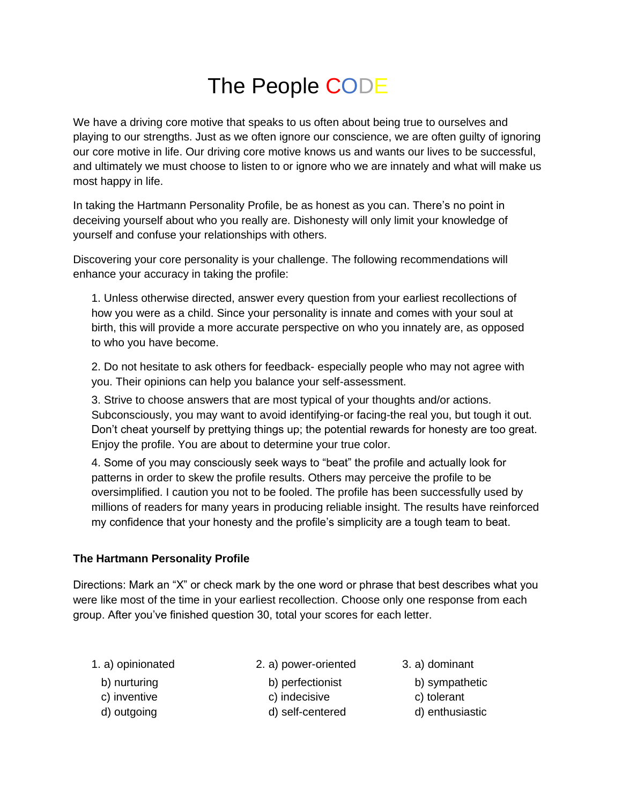## The People CODE

We have a driving core motive that speaks to us often about being true to ourselves and playing to our strengths. Just as we often ignore our conscience, we are often guilty of ignoring our core motive in life. Our driving core motive knows us and wants our lives to be successful, and ultimately we must choose to listen to or ignore who we are innately and what will make us most happy in life.

In taking the Hartmann Personality Profile, be as honest as you can. There's no point in deceiving yourself about who you really are. Dishonesty will only limit your knowledge of yourself and confuse your relationships with others.

Discovering your core personality is your challenge. The following recommendations will enhance your accuracy in taking the profile:

1. Unless otherwise directed, answer every question from your earliest recollections of how you were as a child. Since your personality is innate and comes with your soul at birth, this will provide a more accurate perspective on who you innately are, as opposed to who you have become.

2. Do not hesitate to ask others for feedback- especially people who may not agree with you. Their opinions can help you balance your self-assessment.

3. Strive to choose answers that are most typical of your thoughts and/or actions. Subconsciously, you may want to avoid identifying-or facing-the real you, but tough it out. Don't cheat yourself by prettying things up; the potential rewards for honesty are too great. Enjoy the profile. You are about to determine your true color.

4. Some of you may consciously seek ways to "beat" the profile and actually look for patterns in order to skew the profile results. Others may perceive the profile to be oversimplified. I caution you not to be fooled. The profile has been successfully used by millions of readers for many years in producing reliable insight. The results have reinforced my confidence that your honesty and the profile's simplicity are a tough team to beat.

## **The Hartmann Personality Profile**

Directions: Mark an "X" or check mark by the one word or phrase that best describes what you were like most of the time in your earliest recollection. Choose only one response from each group. After you've finished question 30, total your scores for each letter.

1. a) opinionated 2. a) power-oriented 3. a) dominant

- 
- 
- 
- b) nurturing b) perfectionist b) sympathetic
- c) inventive c) indecisive c) tolerant
- d) outgoing d) self-centered d) enthusiastic
- - -
	-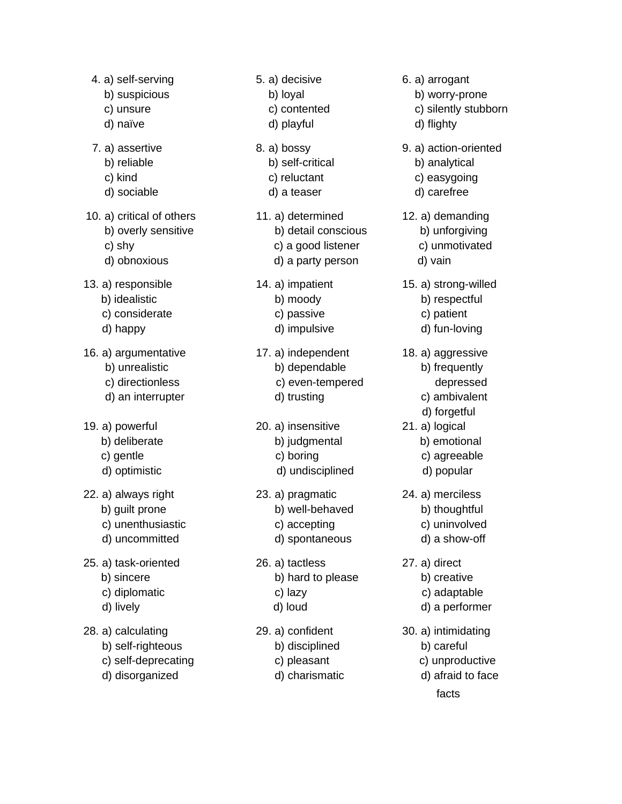- 4. a) self-serving 5. a) decisive 6. a) arrogant b) suspicious b) loyal b) b) b) worry-prone d) naïve d) playful d d d d flighty 7. a) assertive 8. a) bossy 9. a) action-oriented b) reliable b) self-critical b) self-critical b) analytical c) kind c) reluctant c) easygoing d) sociable d) a teaser d) carefree d) obnoxious d) a party person d) vain 13. a) responsible 14. a) impatient 15. a) strong-willed b) idealistic b) moody b) respectful c) considerate c) passive c) patient d) happy d) impulsive d) fun-loving 16. a) argumentative 17. a) independent 18. a) aggressive b) unrealistic b) dependable b) b) frequently c) directionless c) even-tempered depressed d) an interrupter d) trusting d ambivalent 19. a) powerful 20. a) insensitive 21. a) logical b) deliberate b) judgmental b) emotional c) gentle c) boring c) c c) agreeable d) optimistic d) undisciplined d) popular 22. a) always right 23. a) pragmatic 24. a) merciless b) guilt prone b) well-behaved b) thoughtful c) unenthusiastic c) accepting c) uninvolved d) uncommitted d) spontaneous d) a show-off 25. a) task-oriented 26. a) tactless 27. a) direct b) sincere b) hard to please b) creative c) diplomatic c) lazy c) c) c c) adaptable d) lively d) loud d) a performer 28. a) calculating 29. a) confident 30. a) intimidating b) self-righteous b) disciplined b) careful
- 10. a) critical of others 11. a) determined 12. a) demanding
- 
- 
- -
	-
	-
- -
	-
	-
- b) overly sensitive b) detail conscious b) unforgiving c) shy c) a good listener c) unmotivated
	-
	- -
		-
		-
	- -
		-
	- -
		-
		-
	- -
		-
		-
	- -
		-
		-
	- -
		-
		-
- -
- c) unsure c) contented c) silently stubborn
	-
	-
	-
	- - -
			- d) forgetful
		-
		-
		-
	- -
		-
		-
	- -
		-
- c) self-deprecating c) pleasant c) unproductive d) disorganized d) charismatic d) afraid to face

facts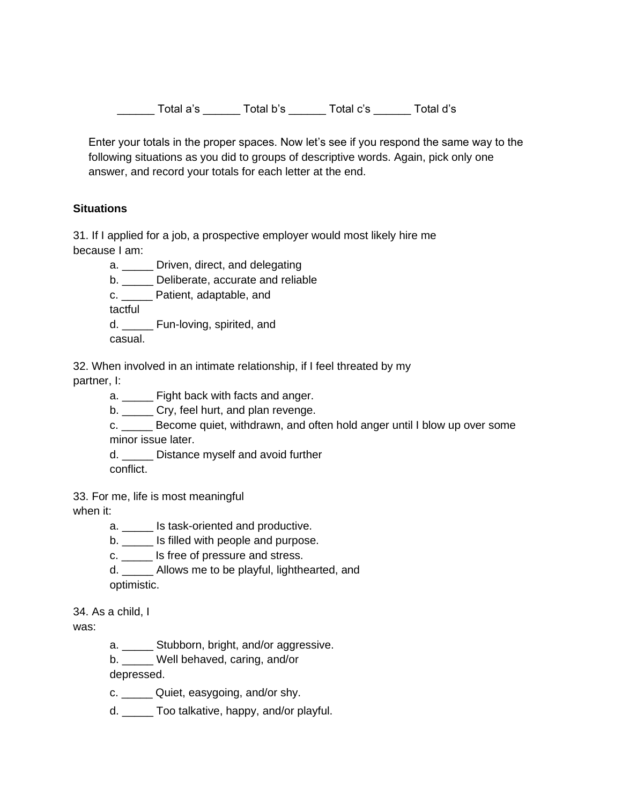\_\_\_\_\_\_ Total a's \_\_\_\_\_\_ Total b's \_\_\_\_\_\_ Total c's \_\_\_\_\_\_ Total d's

Enter your totals in the proper spaces. Now let's see if you respond the same way to the following situations as you did to groups of descriptive words. Again, pick only one answer, and record your totals for each letter at the end.

## **Situations**

31. If I applied for a job, a prospective employer would most likely hire me because I am:

a. \_\_\_\_\_ Driven, direct, and delegating

b. \_\_\_\_\_ Deliberate, accurate and reliable

c. \_\_\_\_\_ Patient, adaptable, and

tactful

d. Fun-loving, spirited, and

casual.

32. When involved in an intimate relationship, if I feel threated by my

partner, I:

a. \_\_\_\_\_ Fight back with facts and anger.

b. \_\_\_\_\_\_ Cry, feel hurt, and plan revenge.

c. Become quiet, withdrawn, and often hold anger until I blow up over some minor issue later.

d. **Distance myself and avoid further** 

conflict.

33. For me, life is most meaningful

when it:

a. **IS task-oriented and productive.** 

b. \_\_\_\_\_ Is filled with people and purpose.

c. \_\_\_\_\_ Is free of pressure and stress.

d. Allows me to be playful, lighthearted, and optimistic.

34. As a child, I

was:

a. Stubborn, bright, and/or aggressive.

b. Well behaved, caring, and/or

depressed.

c. \_\_\_\_\_ Quiet, easygoing, and/or shy.

d. \_\_\_\_\_ Too talkative, happy, and/or playful.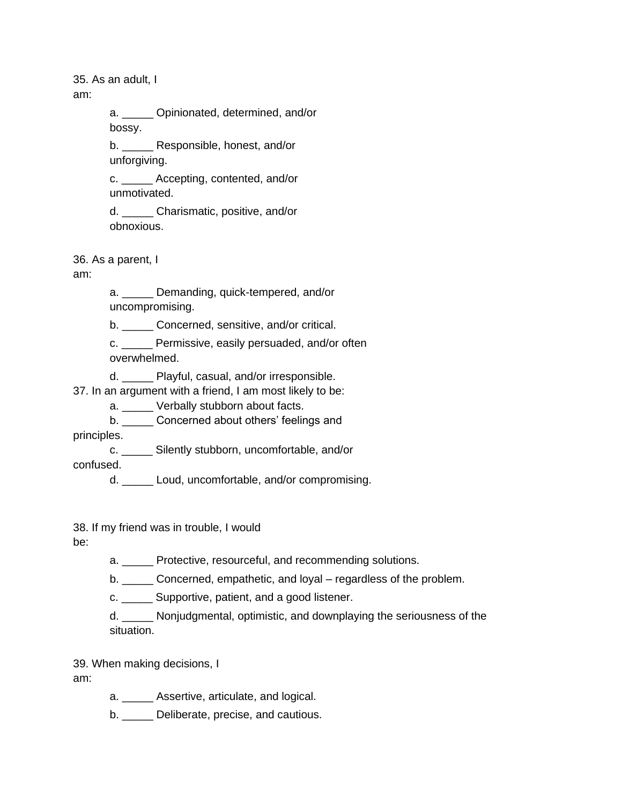35. As an adult, I

am:

a. **Opinionated, determined, and/or** bossy.

b. \_\_\_\_\_ Responsible, honest, and/or unforgiving.

c. \_\_\_\_\_ Accepting, contented, and/or unmotivated.

d. Charismatic, positive, and/or obnoxious.

36. As a parent, I

am:

a. \_\_\_\_\_ Demanding, quick-tempered, and/or uncompromising.

b. \_\_\_\_\_ Concerned, sensitive, and/or critical.

c. Permissive, easily persuaded, and/or often overwhelmed.

d. Playful, casual, and/or irresponsible.

37. In an argument with a friend, I am most likely to be:

a. \_\_\_\_\_ Verbally stubborn about facts.

b. \_\_\_\_\_ Concerned about others' feelings and

principles.

c. \_\_\_\_\_ Silently stubborn, uncomfortable, and/or

confused.

d. \_\_\_\_\_ Loud, uncomfortable, and/or compromising.

38. If my friend was in trouble, I would

be:

a. Protective, resourceful, and recommending solutions.

b. Concerned, empathetic, and loyal – regardless of the problem.

c. \_\_\_\_\_ Supportive, patient, and a good listener.

d. \_\_\_\_\_ Nonjudgmental, optimistic, and downplaying the seriousness of the situation.

39. When making decisions, I

am:

a. \_\_\_\_\_ Assertive, articulate, and logical.

b. Deliberate, precise, and cautious.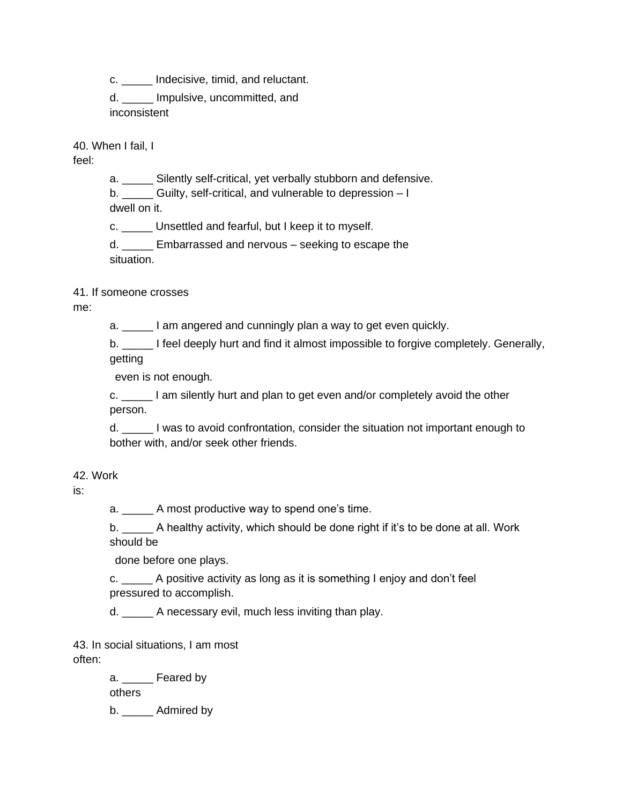c. \_\_\_\_\_ Indecisive, timid, and reluctant.

d. \_\_\_\_\_ Impulsive, uncommitted, and inconsistent

40. When I fail, I

feel:

a. \_\_\_\_\_ Silently self-critical, yet verbally stubborn and defensive.

b. Guilty, self-critical, and vulnerable to depression – I dwell on it.

c. \_\_\_\_\_ Unsettled and fearful, but I keep it to myself.

d. Embarrassed and nervous – seeking to escape the situation.

41. If someone crosses

me:

a. \_\_\_\_\_ I am angered and cunningly plan a way to get even quickly.

b. I feel deeply hurt and find it almost impossible to forgive completely. Generally, getting

even is not enough.

c. \_\_\_\_\_ I am silently hurt and plan to get even and/or completely avoid the other person.

d. \_\_\_\_\_ I was to avoid confrontation, consider the situation not important enough to bother with, and/or seek other friends.

42. Work

is:

a. \_\_\_\_\_ A most productive way to spend one's time.

b. \_\_\_\_\_ A healthy activity, which should be done right if it's to be done at all. Work should be

done before one plays.

c. \_\_\_\_\_ A positive activity as long as it is something I enjoy and don't feel pressured to accomplish.

d. A necessary evil, much less inviting than play.

43. In social situations, I am most often:

> a. \_\_\_\_\_ Feared by others b. Admired by